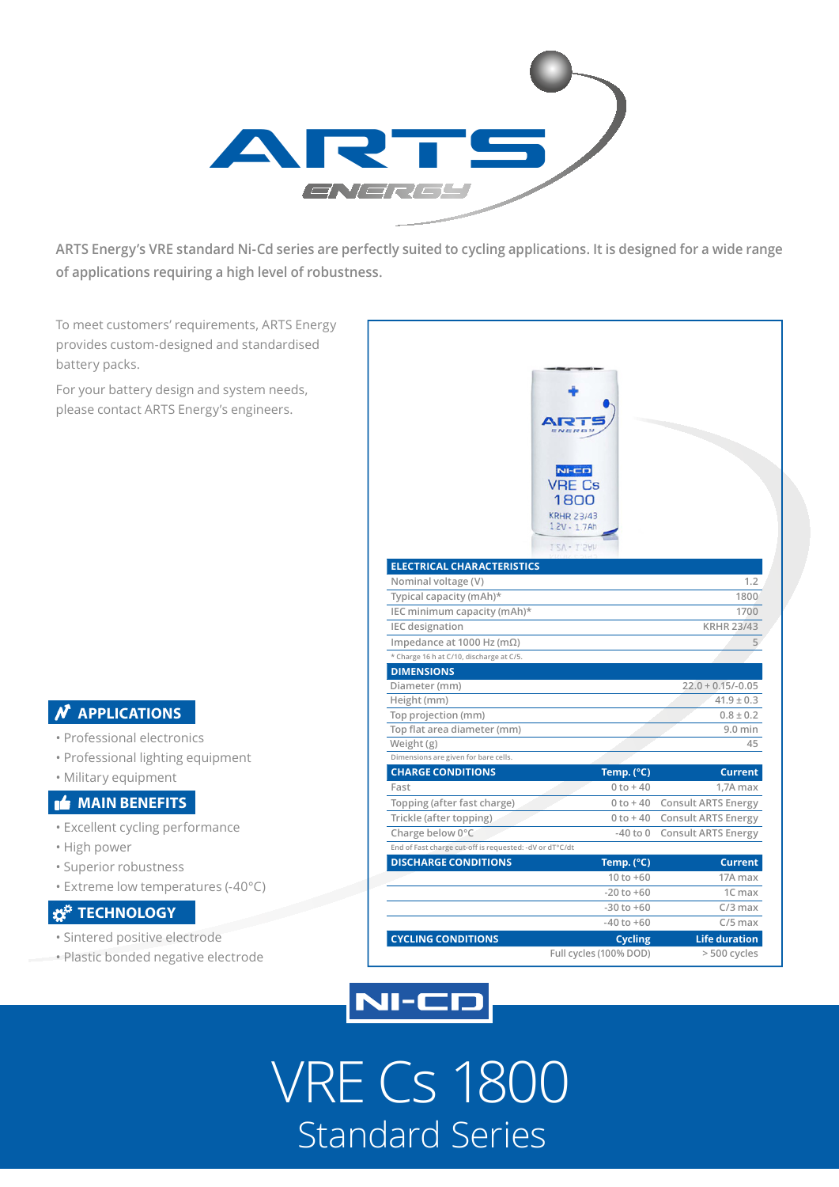

**ARTS Energy's VRE standard Ni-Cd series are perfectly suited to cycling applications. It is designed for a wide range of applications requiring a high level of robustness.**

To meet customers' requirements, ARTS Energy provides custom-designed and standardised battery packs.

For your battery design and system needs, please contact ARTS Energy's engineers.

### **APPLICATIONS**

- Professional electronics
- Professional lighting equipment
- Military equipment

#### **MAIN BENEFITS**

- Excellent cycling performance
- High power
- Superior robustness
- Extreme low temperatures (-40°C)

### **TECHNOLOGY**

- Sintered positive electrode
- Plastic bonded negative electrode

|                                                         | $N = CD$<br>VRE Cs                                          |                              |
|---------------------------------------------------------|-------------------------------------------------------------|------------------------------|
| <b>ELECTRICAL CHARACTERISTICS</b>                       | 1800<br><b>KRHR 23/43</b><br>$1.2V - 1.7Ah$<br>1.2V - 1.5Ah |                              |
| Nominal voltage (V)                                     |                                                             | 1.2                          |
| Typical capacity (mAh)*                                 |                                                             | 1800                         |
| IEC minimum capacity (mAh)*                             |                                                             | 1700                         |
| <b>IEC</b> designation                                  |                                                             | <b>KRHR 23/43</b>            |
| Impedance at 1000 Hz (m $\Omega$ )                      |                                                             | 5                            |
| * Charge 16 h at C/10, discharge at C/5.                |                                                             |                              |
| <b>DIMENSIONS</b>                                       |                                                             |                              |
| Diameter (mm)                                           |                                                             | $22.0 + 0.15/-0.05$          |
| Height (mm)                                             |                                                             | $41.9 \pm 0.3$               |
| Top projection (mm)                                     |                                                             | $0.8 \pm 0.2$                |
| Top flat area diameter (mm)                             |                                                             | $9.0$ min                    |
| Weight (g)                                              |                                                             | 45                           |
| Dimensions are given for bare cells.                    |                                                             |                              |
| <b>CHARGE CONDITIONS</b>                                | Temp. (°C)                                                  | <b>Current</b>               |
| Fast                                                    | $0 to + 40$                                                 | 1,7A max                     |
| Topping (after fast charge)                             |                                                             | 0 to +40 Consult ARTS Energy |
| Trickle (after topping)                                 | $0 to + 40$                                                 | <b>Consult ARTS Energy</b>   |
| Charge below 0°C                                        | $-40$ to $0$                                                | <b>Consult ARTS Energy</b>   |
| End of Fast charge cut-off is requested: -dV or dT°C/dt |                                                             |                              |
| <b>DISCHARGE CONDITIONS</b>                             | Temp. (°C)                                                  | <b>Current</b>               |
|                                                         | $10 to +60$                                                 | 17A max                      |
|                                                         | $-20$ to $+60$                                              | 1C max                       |
|                                                         | $-30$ to $+60$                                              | $C/3$ max                    |
|                                                         | $-40$ to $+60$                                              | $C/5$ max                    |
| <b>CYCLING CONDITIONS</b>                               | <b>Cycling</b>                                              | <b>Life duration</b>         |
|                                                         | Full cycles (100% DOD)                                      | > 500 cycles                 |



VRE Cs 1800 Standard Series